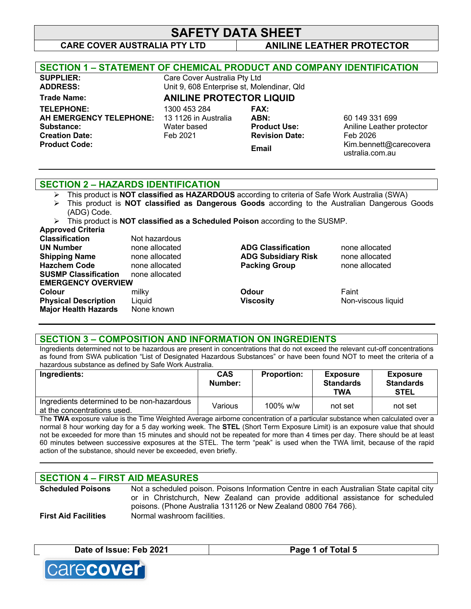# **SAFETY DATA SHEET**

# **CARE COVER AUSTRALIA PTY LTD ANILINE LEATHER PROTECTOR**

| <b>SECTION 1 - STATEMENT OF CHEMICAL PRODUCT AND COMPANY IDENTIFICATION</b> |                                 |                                            |                                           |
|-----------------------------------------------------------------------------|---------------------------------|--------------------------------------------|-------------------------------------------|
| <b>SUPPLIER:</b>                                                            | Care Cover Australia Pty Ltd    |                                            |                                           |
| <b>ADDRESS:</b>                                                             |                                 | Unit 9, 608 Enterprise st, Molendinar, Qld |                                           |
| <b>Trade Name:</b>                                                          | <b>ANILINE PROTECTOR LIQUID</b> |                                            |                                           |
| <b>TELEPHONE:</b>                                                           | 1300 453 284                    | <b>FAX:</b>                                |                                           |
| AH EMERGENCY TELEPHONE:                                                     | 13 1126 in Australia            | ABN:                                       | 60 149 331 699                            |
| Substance:                                                                  | Water based                     | <b>Product Use:</b>                        | Aniline Leather protector                 |
| <b>Creation Date:</b>                                                       | Feb 2021                        | <b>Revision Date:</b>                      | Feb 2026                                  |
| <b>Product Code:</b>                                                        |                                 | Email                                      | Kim.bennett@carecovera<br>ustralia.com.au |
|                                                                             |                                 |                                            |                                           |

### **SECTION 2 – HAZARDS IDENTIFICATION**

- Ø This product is **NOT classified as HAZARDOUS** according to criteria of Safe Work Australia (SWA)
- Ø This product is **NOT classified as Dangerous Goods** according to the Australian Dangerous Goods (ADG) Code.
- Ø This product is **NOT classified as a Scheduled Poison** according to the SUSMP.

| Approved Criteria |  |  |  |
|-------------------|--|--|--|
|-------------------|--|--|--|

| <b>Classification</b>       | Not hazardous  |                            |                    |
|-----------------------------|----------------|----------------------------|--------------------|
| <b>UN Number</b>            | none allocated | <b>ADG Classification</b>  | none allocated     |
| <b>Shipping Name</b>        | none allocated | <b>ADG Subsidiary Risk</b> | none allocated     |
| <b>Hazchem Code</b>         | none allocated | <b>Packing Group</b>       | none allocated     |
| <b>SUSMP Classification</b> | none allocated |                            |                    |
| <b>EMERGENCY OVERVIEW</b>   |                |                            |                    |
| <b>Colour</b>               | milky          | <b>Odour</b>               | Faint              |
| <b>Physical Description</b> | Liquid         | <b>Viscosity</b>           | Non-viscous liquid |
| <b>Major Health Hazards</b> | None known     |                            |                    |
|                             |                |                            |                    |

### **SECTION 3 – COMPOSITION AND INFORMATION ON INGREDIENTS**

Ingredients determined not to be hazardous are present in concentrations that do not exceed the relevant cut-off concentrations as found from SWA publication "List of Designated Hazardous Substances" or have been found NOT to meet the criteria of a hazardous substance as defined by Safe Work Australia.

| Ingredients:                                                              | <b>CAS</b><br>Number: | <b>Proportion:</b> | <b>Exposure</b><br><b>Standards</b><br><b>TWA</b> | <b>Exposure</b><br><b>Standards</b><br><b>STEL</b> |
|---------------------------------------------------------------------------|-----------------------|--------------------|---------------------------------------------------|----------------------------------------------------|
| Ingredients determined to be non-hazardous<br>at the concentrations used. | Various               | $100\%$ w/w        | not set                                           | not set                                            |

The **TWA** exposure value is the Time Weighted Average airborne concentration of a particular substance when calculated over a normal 8 hour working day for a 5 day working week. The **STEL** (Short Term Exposure Limit) is an exposure value that should not be exceeded for more than 15 minutes and should not be repeated for more than 4 times per day. There should be at least 60 minutes between successive exposures at the STEL. The term "peak" is used when the TWA limit, because of the rapid action of the substance, should never be exceeded, even briefly.

**\_\_\_\_\_\_\_\_\_\_\_\_\_\_\_\_\_\_\_\_\_\_\_\_\_\_\_\_\_\_\_\_\_\_\_\_\_\_\_\_\_\_\_\_\_\_\_\_\_\_\_\_\_\_\_\_\_\_\_\_\_\_\_\_\_\_\_\_\_\_\_\_\_\_\_\_\_\_\_\_\_\_\_\_\_\_\_\_\_\_\_\_**

### **SECTION 4 – FIRST AID MEASURES**

**Scheduled Poisons** Not a scheduled poison. Poisons Information Centre in each Australian State capital city or in Christchurch, New Zealand can provide additional assistance for scheduled poisons. (Phone Australia 131126 or New Zealand 0800 764 766). **First Aid Facilities** Normal washroom facilities.

| Date of Issue: Feb 2021 | Page 1 of Total 5 |
|-------------------------|-------------------|
|                         |                   |

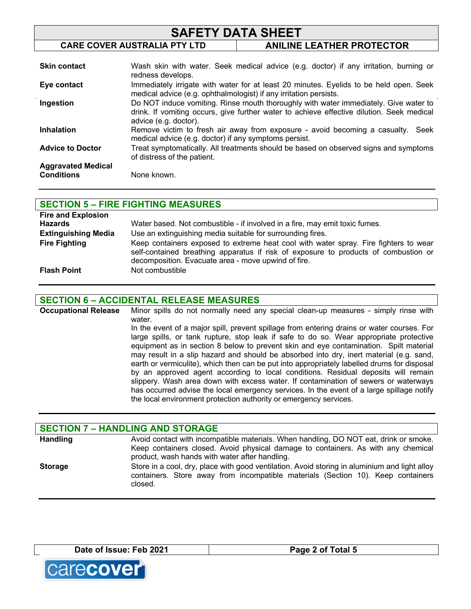| <b>SAFETY DATA SHEET</b> |                                                                   |                                                                                                                                                                                   |
|--------------------------|-------------------------------------------------------------------|-----------------------------------------------------------------------------------------------------------------------------------------------------------------------------------|
|                          | <b>CARE COVER AUSTRALIA PTY LTD</b>                               | <b>ANILINE LEATHER PROTECTOR</b>                                                                                                                                                  |
| <b>Skin contact</b>      | redness develops.                                                 | Wash skin with water. Seek medical advice (e.g. doctor) if any irritation, burning or                                                                                             |
| Eye contact              | medical advice (e.g. ophthalmologist) if any irritation persists. | Immediately irrigate with water for at least 20 minutes. Eyelids to be held open. Seek                                                                                            |
| Ingestion                | advice (e.g. doctor).                                             | Do NOT induce vomiting. Rinse mouth thoroughly with water immediately. Give water to<br>drink. If vomiting occurs, give further water to achieve effective dilution. Seek medical |
| <b>Inhalation</b>        | medical advice (e.g. doctor) if any symptoms persist.             | Remove victim to fresh air away from exposure - avoid becoming a casualty.<br>Seek                                                                                                |

**Advice to Doctor** Treat symptomatically. All treatments should be based on observed signs and symptoms of distress of the patient.

**Aggravated Medical Conditions** None known.

# **SECTION 5 – FIRE FIGHTING MEASURES Fire and Explosion**

| <b>Hazards</b>             | Water based. Not combustible - if involved in a fire, may emit toxic fumes.                                                                                                                                                        |
|----------------------------|------------------------------------------------------------------------------------------------------------------------------------------------------------------------------------------------------------------------------------|
| <b>Extinguishing Media</b> | Use an extinguishing media suitable for surrounding fires.                                                                                                                                                                         |
| <b>Fire Fighting</b>       | Keep containers exposed to extreme heat cool with water spray. Fire fighters to wear<br>self-contained breathing apparatus if risk of exposure to products of combustion or<br>decomposition. Evacuate area - move upwind of fire. |
| <b>Flash Point</b>         | Not combustible                                                                                                                                                                                                                    |

# **SECTION 6 – ACCIDENTAL RELEASE MEASURES**

**Occupational Release** Minor spills do not normally need any special clean-up measures - simply rinse with water. In the event of a major spill, prevent spillage from entering drains or water courses. For large spills, or tank rupture, stop leak if safe to do so. Wear appropriate protective equipment as in section 8 below to prevent skin and eye contamination. Spilt material may result in a slip hazard and should be absorbed into dry, inert material (e.g. sand, earth or vermiculite), which then can be put into appropriately labelled drums for disposal by an approved agent according to local conditions. Residual deposits will remain slippery. Wash area down with excess water. If contamination of sewers or waterways has occurred advise the local emergency services. In the event of a large spillage notify the local environment protection authority or emergency services.

### **SECTION 7 – HANDLING AND STORAGE** Handling **Avoid contact with incompatible materials. When handling, DO NOT eat, drink or smoke.** Keep containers closed. Avoid physical damage to containers. As with any chemical product, wash hands with water after handling. **Storage** Store in a cool, dry, place with good ventilation. Avoid storing in aluminium and light alloy containers. Store away from incompatible materials (Section 10). Keep containers closed.

**Date of Issue: Feb 2021 Page 2 of Total 5**

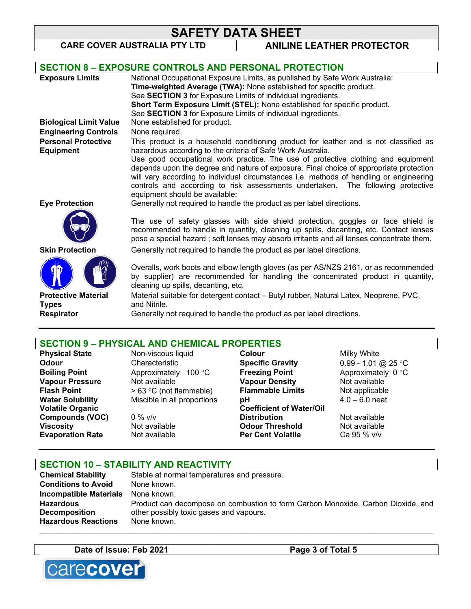# **SAFETY DATA SHEET**<br>CARE COVER AUSTRALIA PTY LTD ANILINE

**ANILINE LEATHER PROTECTOR** 

|                               | <b>SECTION 8 - EXPOSURE CONTROLS AND PERSONAL PROTECTION</b>                                                                                                                                                                                                          |
|-------------------------------|-----------------------------------------------------------------------------------------------------------------------------------------------------------------------------------------------------------------------------------------------------------------------|
| <b>Exposure Limits</b>        | National Occupational Exposure Limits, as published by Safe Work Australia:                                                                                                                                                                                           |
|                               | Time-weighted Average (TWA): None established for specific product.                                                                                                                                                                                                   |
|                               | See SECTION 3 for Exposure Limits of individual ingredients.                                                                                                                                                                                                          |
|                               | Short Term Exposure Limit (STEL): None established for specific product.                                                                                                                                                                                              |
|                               | See SECTION 3 for Exposure Limits of individual ingredients.                                                                                                                                                                                                          |
| <b>Biological Limit Value</b> | None established for product.                                                                                                                                                                                                                                         |
| <b>Engineering Controls</b>   | None required.                                                                                                                                                                                                                                                        |
| <b>Personal Protective</b>    | This product is a household conditioning product for leather and is not classified as                                                                                                                                                                                 |
| <b>Equipment</b>              | hazardous according to the criteria of Safe Work Australia.                                                                                                                                                                                                           |
|                               | Use good occupational work practice. The use of protective clothing and equipment                                                                                                                                                                                     |
|                               | depends upon the degree and nature of exposure. Final choice of appropriate protection                                                                                                                                                                                |
|                               | will vary according to individual circumstances i.e. methods of handling or engineering                                                                                                                                                                               |
|                               | controls and according to risk assessments undertaken.<br>The following protective                                                                                                                                                                                    |
|                               | equipment should be available;                                                                                                                                                                                                                                        |
| <b>Eye Protection</b>         | Generally not required to handle the product as per label directions.                                                                                                                                                                                                 |
|                               | The use of safety glasses with side shield protection, goggles or face shield is<br>recommended to handle in quantity, cleaning up spills, decanting, etc. Contact lenses<br>pose a special hazard; soft lenses may absorb irritants and all lenses concentrate them. |
| <b>Skin Protection</b>        | Generally not required to handle the product as per label directions.                                                                                                                                                                                                 |
|                               | Overalls, work boots and elbow length gloves (as per AS/NZS 2161, or as recommended<br>by supplier) are recommended for handling the concentrated product in quantity,<br>cleaning up spills, decanting, etc.                                                         |
| <b>Protective Material</b>    | Material suitable for detergent contact – Butyl rubber, Natural Latex, Neoprene, PVC,                                                                                                                                                                                 |
| <b>Types</b>                  | and Nitrile.                                                                                                                                                                                                                                                          |
| <b>Respirator</b>             | Generally not required to handle the product as per label directions.                                                                                                                                                                                                 |
|                               |                                                                                                                                                                                                                                                                       |

# **SECTION 9 – PHYSICAL AND CHEMICAL PROPERTIES**

| <b>Physical State</b>   | Non-viscous liquid                | <b>Colour</b>                   | Milky White         |
|-------------------------|-----------------------------------|---------------------------------|---------------------|
| Odour                   | Characteristic                    | <b>Specific Gravity</b>         | 0.99 - 1.01 @ 25 °C |
| <b>Boiling Point</b>    | Approximately<br>100 $^{\circ}$ C | <b>Freezing Point</b>           | Approximately 0 °C  |
| <b>Vapour Pressure</b>  | Not available                     | <b>Vapour Density</b>           | Not available       |
| <b>Flash Point</b>      | > 63 °C (not flammable)           | <b>Flammable Limits</b>         | Not applicable      |
| <b>Water Solubility</b> | Miscible in all proportions       | pН                              | $4.0 - 6.0$ neat    |
| <b>Volatile Organic</b> |                                   | <b>Coefficient of Water/Oil</b> |                     |
| <b>Compounds (VOC)</b>  | $0\%$ v/v                         | <b>Distribution</b>             | Not available       |
| <b>Viscosity</b>        | Not available                     | <b>Odour Threshold</b>          | Not available       |
| <b>Evaporation Rate</b> | Not available                     | <b>Per Cent Volatile</b>        | Ca 95 % v/v         |
|                         |                                   |                                 |                     |

| <b>SECTION 10 - STABILITY AND REACTIVITY</b> |                                                                                  |  |
|----------------------------------------------|----------------------------------------------------------------------------------|--|
| <b>Chemical Stability</b>                    | Stable at normal temperatures and pressure.                                      |  |
| <b>Conditions to Avoid</b>                   | None known.                                                                      |  |
| <b>Incompatible Materials</b>                | None known.                                                                      |  |
| Hazardous                                    | Product can decompose on combustion to form Carbon Monoxide, Carbon Dioxide, and |  |
| <b>Decomposition</b>                         | other possibly toxic gases and vapours.                                          |  |
| <b>Hazardous Reactions</b>                   | None known.                                                                      |  |

\_\_\_\_\_\_\_\_\_\_\_\_\_\_\_\_\_\_\_\_\_\_\_\_\_\_\_\_\_\_\_\_\_\_\_\_\_\_\_\_\_\_\_\_\_\_\_\_\_\_\_\_\_\_\_\_\_\_\_\_\_\_\_\_\_\_\_\_\_\_\_\_\_\_\_\_\_\_\_\_\_\_\_\_\_\_\_\_\_\_\_\_

```
Date of Issue: Feb 2021 Page 3 of Total 5
```
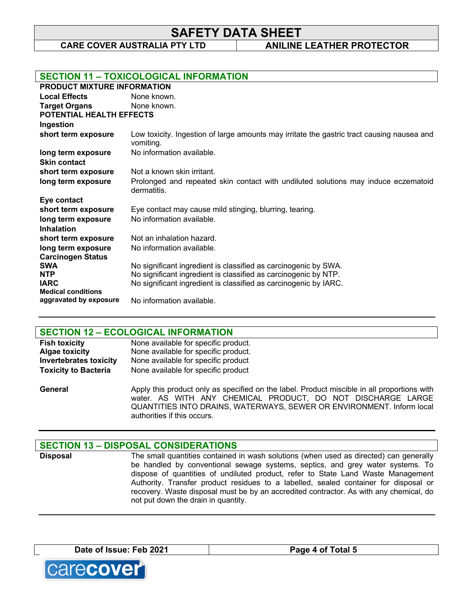**SAFETY DATA SHEET**

**CARE COVER AUSTRALIA PTY LTD ANILINE LEATHER PROTECTOR** 

|                                                     | <b>SECTION 11 - TOXICOLOGICAL INFORMATION</b>                                                           |
|-----------------------------------------------------|---------------------------------------------------------------------------------------------------------|
| PRODUCT MIXTURE INFORMATION                         |                                                                                                         |
| <b>Local Effects</b>                                | None known.                                                                                             |
| <b>Target Organs</b>                                | None known.                                                                                             |
| <b>POTENTIAL HEALTH EFFECTS</b>                     |                                                                                                         |
| Ingestion                                           |                                                                                                         |
| short term exposure                                 | Low toxicity. Ingestion of large amounts may irritate the gastric tract causing nausea and<br>vomiting. |
| long term exposure                                  | No information available.                                                                               |
| <b>Skin contact</b>                                 |                                                                                                         |
| short term exposure                                 | Not a known skin irritant.                                                                              |
| long term exposure                                  | Prolonged and repeated skin contact with undiluted solutions may induce eczematoid<br>dermatitis.       |
| Eye contact                                         |                                                                                                         |
| short term exposure                                 | Eye contact may cause mild stinging, blurring, tearing.                                                 |
| long term exposure                                  | No information available.                                                                               |
| <b>Inhalation</b>                                   |                                                                                                         |
| short term exposure                                 | Not an inhalation hazard.                                                                               |
| long term exposure                                  | No information available.                                                                               |
| <b>Carcinogen Status</b>                            |                                                                                                         |
| <b>SWA</b>                                          | No significant ingredient is classified as carcinogenic by SWA.                                         |
| <b>NTP</b>                                          | No significant ingredient is classified as carcinogenic by NTP.                                         |
| <b>IARC</b>                                         | No significant ingredient is classified as carcinogenic by IARC.                                        |
| <b>Medical conditions</b><br>aggravated by exposure | No information available.                                                                               |

### **SECTION 12 – ECOLOGICAL INFORMATION**

| <b>Fish toxicity</b>          | None available for specific product. |
|-------------------------------|--------------------------------------|
| <b>Algae toxicity</b>         | None available for specific product. |
| <b>Invertebrates toxicity</b> | None available for specific product  |
| <b>Toxicity to Bacteria</b>   | None available for specific product  |

**General** Apply this product only as specified on the label. Product miscible in all proportions with water. AS WITH ANY CHEMICAL PRODUCT, DO NOT DISCHARGE LARGE QUANTITIES INTO DRAINS, WATERWAYS, SEWER OR ENVIRONMENT. Inform local authorities if this occurs.

# **SECTION 13 – DISPOSAL CONSIDERATIONS**

**Disposal** The small quantities contained in wash solutions (when used as directed) can generally be handled by conventional sewage systems, septics, and grey water systems. To dispose of quantities of undiluted product, refer to State Land Waste Management Authority. Transfer product residues to a labelled, sealed container for disposal or recovery. Waste disposal must be by an accredited contractor. As with any chemical, do not put down the drain in quantity.

**Date of Issue: Feb 2021 Page 4 of Total 5**